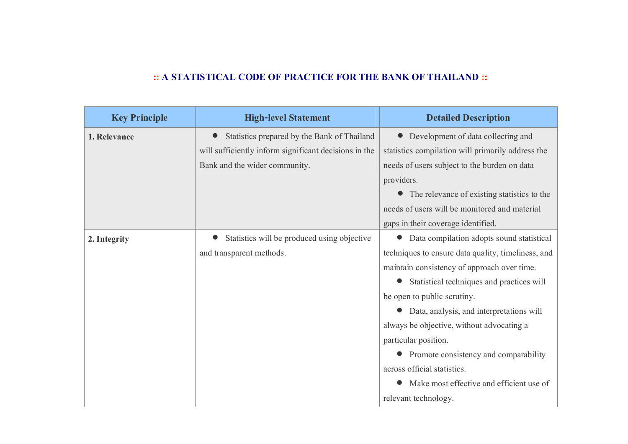## **:: A STATISTICAL CODE OF PRACTICE FOR THE BANK OF THAILAND ::**

| <b>Key Principle</b> | <b>High-level Statement</b>                           | <b>Detailed Description</b>                        |
|----------------------|-------------------------------------------------------|----------------------------------------------------|
| 1. Relevance         | Statistics prepared by the Bank of Thailand           | Development of data collecting and                 |
|                      | will sufficiently inform significant decisions in the | statistics compilation will primarily address the  |
|                      | Bank and the wider community.                         | needs of users subject to the burden on data       |
|                      |                                                       | providers.                                         |
|                      |                                                       | The relevance of existing statistics to the        |
|                      |                                                       | needs of users will be monitored and material      |
|                      |                                                       | gaps in their coverage identified.                 |
| 2. Integrity         | Statistics will be produced using objective           | Data compilation adopts sound statistical          |
|                      | and transparent methods.                              | techniques to ensure data quality, timeliness, and |
|                      |                                                       | maintain consistency of approach over time.        |
|                      |                                                       | Statistical techniques and practices will          |
|                      |                                                       | be open to public scrutiny.                        |
|                      |                                                       | Data, analysis, and interpretations will           |
|                      |                                                       | always be objective, without advocating a          |
|                      |                                                       | particular position.                               |
|                      |                                                       | Promote consistency and comparability              |
|                      |                                                       | across official statistics.                        |
|                      |                                                       | Make most effective and efficient use of           |
|                      |                                                       | relevant technology.                               |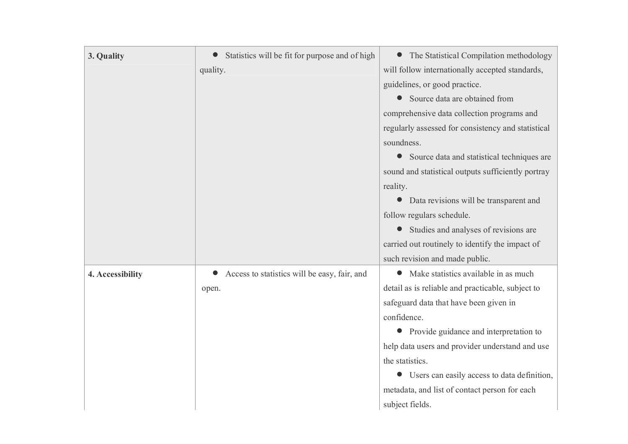| 3. Quality       | Statistics will be fit for purpose and of high | The Statistical Compilation methodology            |
|------------------|------------------------------------------------|----------------------------------------------------|
|                  | quality.                                       | will follow internationally accepted standards,    |
|                  |                                                | guidelines, or good practice.                      |
|                  |                                                | Source data are obtained from                      |
|                  |                                                | comprehensive data collection programs and         |
|                  |                                                | regularly assessed for consistency and statistical |
|                  |                                                | soundness.                                         |
|                  |                                                | Source data and statistical techniques are         |
|                  |                                                | sound and statistical outputs sufficiently portray |
|                  |                                                | reality.                                           |
|                  |                                                | Data revisions will be transparent and             |
|                  |                                                | follow regulars schedule.                          |
|                  |                                                | Studies and analyses of revisions are              |
|                  |                                                | carried out routinely to identify the impact of    |
|                  |                                                | such revision and made public.                     |
| 4. Accessibility | Access to statistics will be easy, fair, and   | Make statistics available in as much               |
|                  | open.                                          | detail as is reliable and practicable, subject to  |
|                  |                                                | safeguard data that have been given in             |
|                  |                                                | confidence.                                        |
|                  |                                                | Provide guidance and interpretation to             |
|                  |                                                | help data users and provider understand and use    |
|                  |                                                | the statistics.                                    |
|                  |                                                | Users can easily access to data definition,        |
|                  |                                                | metadata, and list of contact person for each      |
|                  |                                                | subject fields.                                    |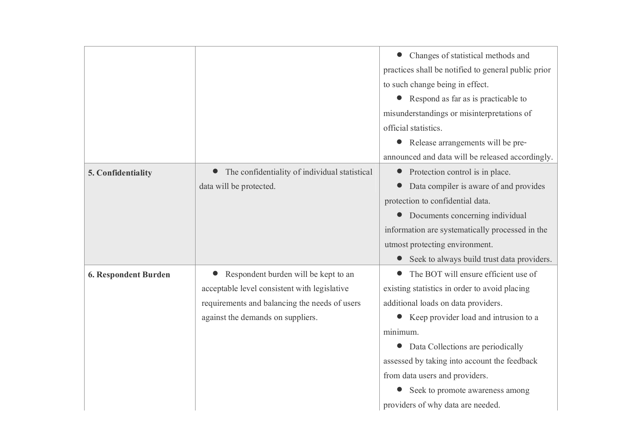|                      |                                               | Changes of statistical methods and                  |
|----------------------|-----------------------------------------------|-----------------------------------------------------|
|                      |                                               | practices shall be notified to general public prior |
|                      |                                               | to such change being in effect.                     |
|                      |                                               | Respond as far as is practicable to<br>$\bullet$    |
|                      |                                               | misunderstandings or misinterpretations of          |
|                      |                                               | official statistics.                                |
|                      |                                               | Release arrangements will be pre-<br>$\bullet$      |
|                      |                                               | announced and data will be released accordingly.    |
| 5. Confidentiality   | The confidentiality of individual statistical | Protection control is in place.                     |
|                      | data will be protected.                       | Data compiler is aware of and provides              |
|                      |                                               | protection to confidential data.                    |
|                      |                                               | Documents concerning individual                     |
|                      |                                               | information are systematically processed in the     |
|                      |                                               | utmost protecting environment.                      |
|                      |                                               | Seek to always build trust data providers.          |
| 6. Respondent Burden | Respondent burden will be kept to an          | The BOT will ensure efficient use of                |
|                      | acceptable level consistent with legislative  | existing statistics in order to avoid placing       |
|                      | requirements and balancing the needs of users | additional loads on data providers.                 |
|                      | against the demands on suppliers.             | Keep provider load and intrusion to a               |
|                      |                                               | minimum.                                            |
|                      |                                               | Data Collections are periodically                   |
|                      |                                               | assessed by taking into account the feedback        |
|                      |                                               | from data users and providers.                      |
|                      |                                               | Seek to promote awareness among                     |
|                      |                                               | providers of why data are needed.                   |